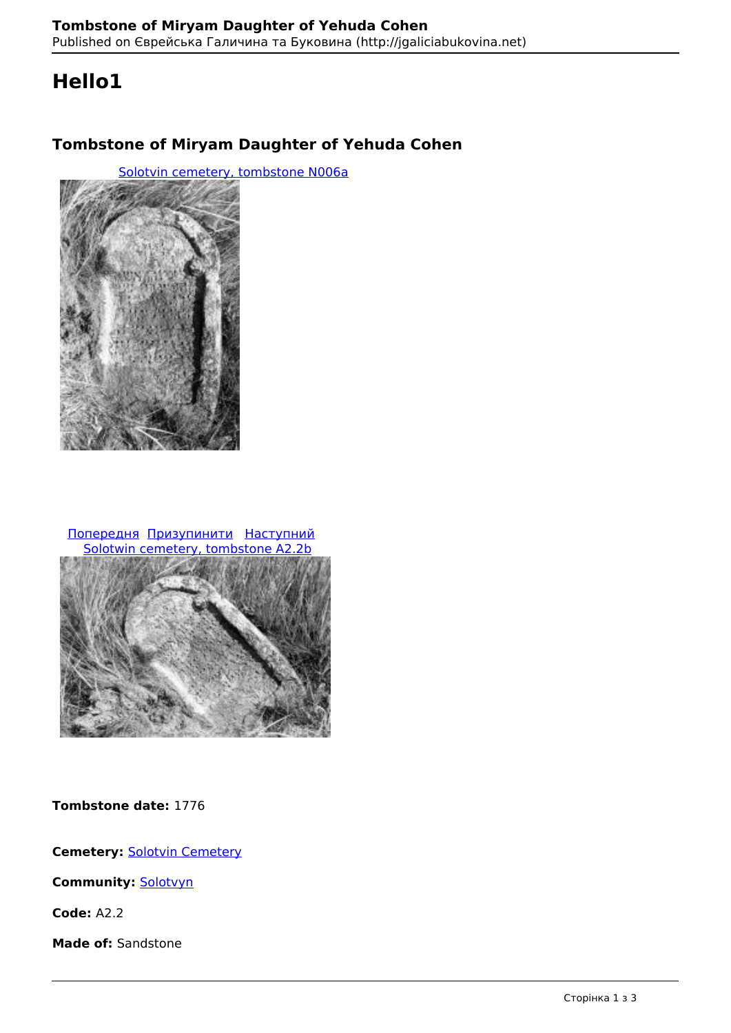# **Hello1**

## **Tombstone of Miryam Daughter of Yehuda Cohen**

[Solotvin cemetery, tombstone N006a](http://jgaliciabukovina.net/uk/134477/image/solotvin-cemetery-tombstone-n006a) 



 Попередня Призупинити Наступний Solotwin cemetery, tombstone A2.2b



**Tombstone date:** 1776

**Cemetery:** Solotvin Cemetery

**Community:** Solotvyn

**Code:** A2.2

**Made of:** Sandstone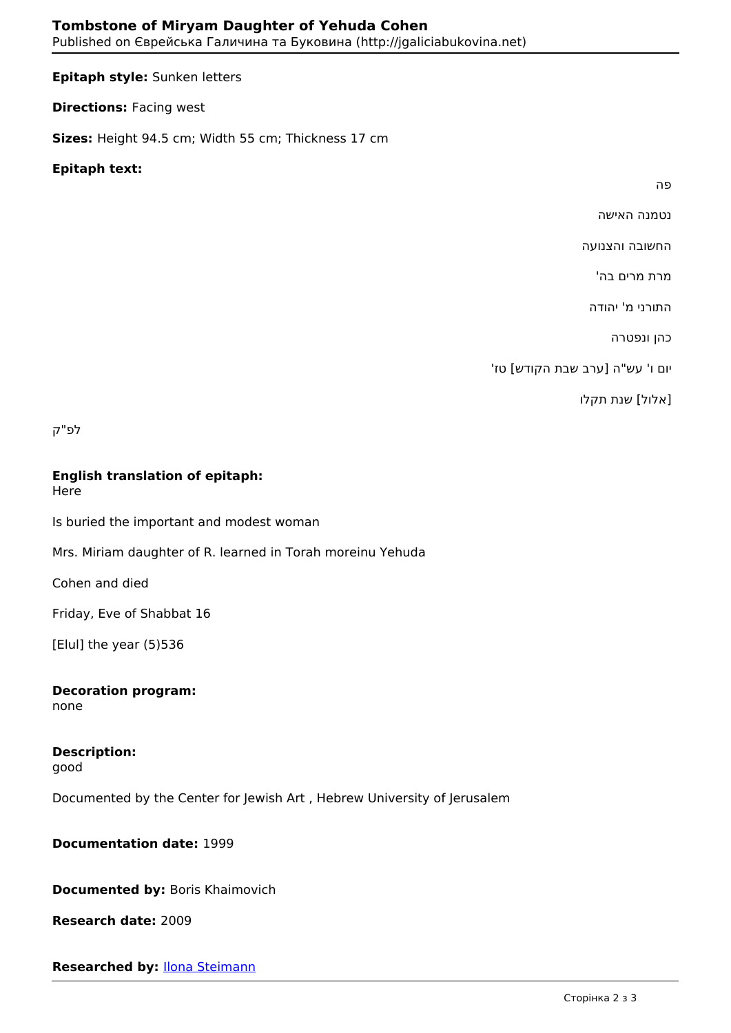#### **Epitaph style:** Sunken letters

**Directions: Facing west** 

**Sizes:** Height 94.5 cm; Width 55 cm; Thickness 17 cm

#### **Epitaph text:**

פה

נטמנה האישה

החשובה והצנועה

מרת מרים בה'

התורני מ' יהודה

כהן ונפטרה

יום ו' עש"ה [ערב שבת הקודש] טז'

[אלול] שנת תקלו

לפ"ק

### **English translation of epitaph:**

Here

Is buried the important and modest woman

Mrs. Miriam daughter of R. learned in Torah moreinu Yehuda

Cohen and died

Friday, Eve of Shabbat 16

[Elul] the year (5)536

**Decoration program:**  none

**Description:**  good

Documented by the Center for Jewish Art , Hebrew University of Jerusalem

**Documentation date:** 1999

**Documented by:** Boris Khaimovich

**Research date:** 2009

**Researched by:** Ilona Steimann